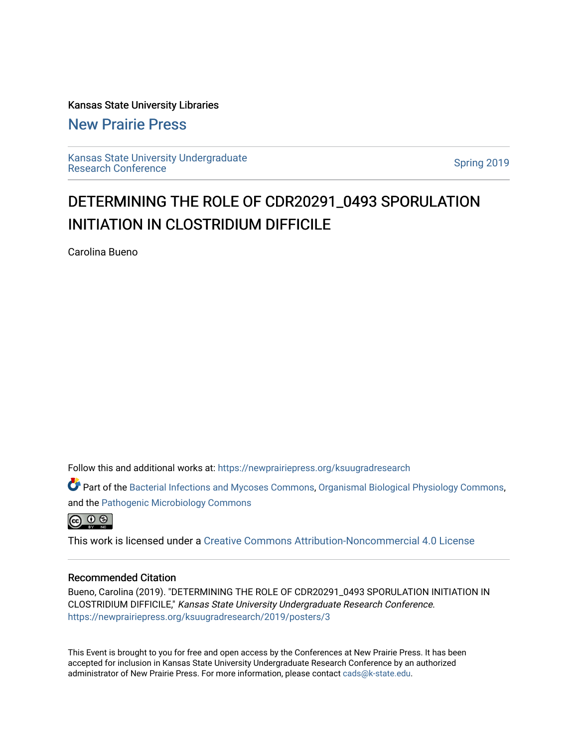Kansas State University Libraries

[New Prairie Press](https://newprairiepress.org/) 

[Kansas State University Undergraduate](https://newprairiepress.org/ksuugradresearch)  Ransas State University Undergraduate<br>[Research Conference](https://newprairiepress.org/ksuugradresearch)

### DETERMINING THE ROLE OF CDR20291\_0493 SPORULATION INITIATION IN CLOSTRIDIUM DIFFICILE

Carolina Bueno

Follow this and additional works at: [https://newprairiepress.org/ksuugradresearch](https://newprairiepress.org/ksuugradresearch?utm_source=newprairiepress.org%2Fksuugradresearch%2F2019%2Fposters%2F3&utm_medium=PDF&utm_campaign=PDFCoverPages) 

Part of the [Bacterial Infections and Mycoses Commons](http://network.bepress.com/hgg/discipline/966?utm_source=newprairiepress.org%2Fksuugradresearch%2F2019%2Fposters%2F3&utm_medium=PDF&utm_campaign=PDFCoverPages), [Organismal Biological Physiology Commons,](http://network.bepress.com/hgg/discipline/1061?utm_source=newprairiepress.org%2Fksuugradresearch%2F2019%2Fposters%2F3&utm_medium=PDF&utm_campaign=PDFCoverPages) and the [Pathogenic Microbiology Commons](http://network.bepress.com/hgg/discipline/52?utm_source=newprairiepress.org%2Fksuugradresearch%2F2019%2Fposters%2F3&utm_medium=PDF&utm_campaign=PDFCoverPages) 



This work is licensed under a [Creative Commons Attribution-Noncommercial 4.0 License](https://creativecommons.org/licenses/by-nc/4.0/)

### Recommended Citation

Bueno, Carolina (2019). "DETERMINING THE ROLE OF CDR20291\_0493 SPORULATION INITIATION IN CLOSTRIDIUM DIFFICILE," Kansas State University Undergraduate Research Conference. <https://newprairiepress.org/ksuugradresearch/2019/posters/3>

This Event is brought to you for free and open access by the Conferences at New Prairie Press. It has been accepted for inclusion in Kansas State University Undergraduate Research Conference by an authorized administrator of New Prairie Press. For more information, please contact [cads@k-state.edu](mailto:cads@k-state.edu).